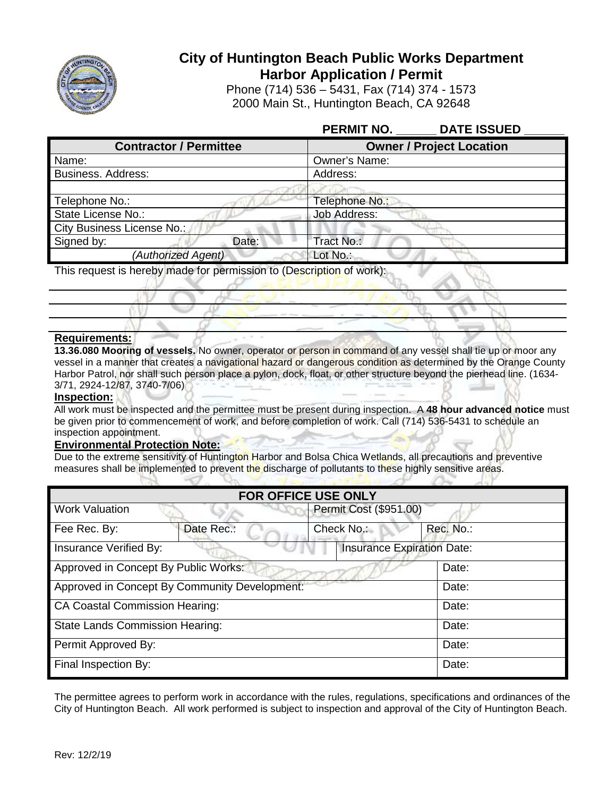

# **City of Huntington Beach Public Works Department Harbor Application / Permit**

Phone (714) 536 – 5431, Fax (714) 374 - 1573 2000 Main St., Huntington Beach, CA 92648

| PERMIT NO. DATE ISSUED                                               |  |
|----------------------------------------------------------------------|--|
| <b>Owner / Project Location</b>                                      |  |
| Owner's Name:                                                        |  |
| Address:                                                             |  |
|                                                                      |  |
| Telephone No.:                                                       |  |
| Job Address:                                                         |  |
|                                                                      |  |
| Tract No.:                                                           |  |
| Lot No.:                                                             |  |
| This request is hereby made for permission to (Description of work): |  |
|                                                                      |  |

## **Requirements:**

**13.36.080 Mooring of vessels.** No owner, operator or person in command of any vessel shall tie up or moor any vessel in a manner that creates a navigational hazard or dangerous condition as determined by the Orange County Harbor Patrol, nor shall such person place a pylon, dock, float, or other structure beyond the pierhead line. (1634- 3/71, 2924-12/87, 3740-7/06)

### **Inspection:**

All work must be inspected and the permittee must be present during inspection. A **48 hour advanced notice** must be given prior to commencement of work, and before completion of work. Call (714) 536-5431 to schedule an inspection appointment.

- Samuel

# **Environmental Protection Note:**

Due to the extreme sensitivity of Huntington Harbor and Bolsa Chica Wetlands, all precautions and preventive measures shall be implemented to prevent the discharge of pollutants to these highly sensitive areas.  $\mathcal{A}$  the definition of  $\mathcal{A}$ 

| <b>FOR OFFICE USE ONLY</b>                                         |            |           |  |
|--------------------------------------------------------------------|------------|-----------|--|
| Permit Cost (\$951.00)<br><b>Work Valuation</b>                    |            |           |  |
| Date Rec.:<br>Fee Rec. By:                                         | Check No.: | Rec. No.: |  |
| <b>Insurance Expiration Date:</b><br><b>Insurance Verified By:</b> |            |           |  |
| Approved in Concept By Public Works:                               |            | Date:     |  |
| Approved in Concept By Community Development:                      |            | Date:     |  |
| <b>CA Coastal Commission Hearing:</b>                              |            | Date:     |  |
| <b>State Lands Commission Hearing:</b>                             |            | Date:     |  |
| Permit Approved By:                                                |            | Date:     |  |
| Final Inspection By:                                               |            | Date:     |  |

The permittee agrees to perform work in accordance with the rules, regulations, specifications and ordinances of the City of Huntington Beach. All work performed is subject to inspection and approval of the City of Huntington Beach.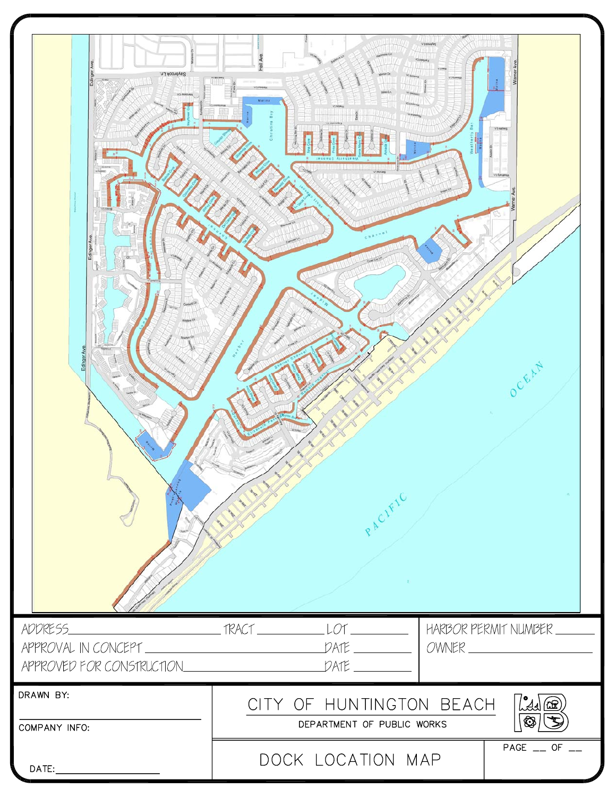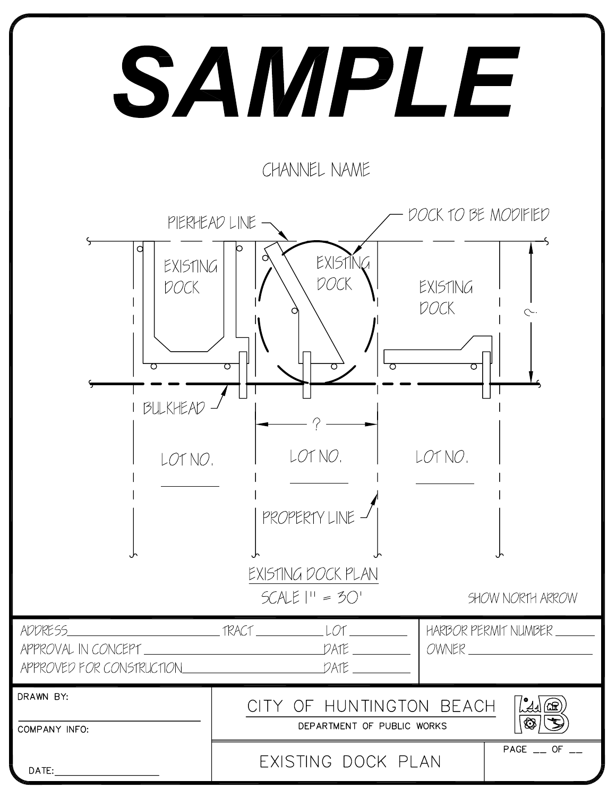# SAMPLE

CHANNEL NAME